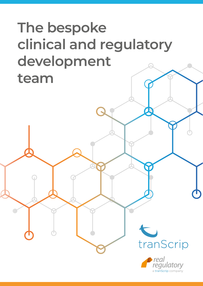# **The bespoke clinical and regulatory development team**



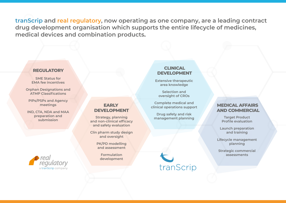**tranScrip and real regulatory, now operating as one company, are a leading contract drug development organisation which supports the entire lifecycle of medicines, medical devices and combination products.**

#### **REGULATORY**

**SME Status for EMA fee incentives**

**Orphan Designations and ATMP Classifications**

**PIPs/PSPs and Agency meetings**

**IND, CTA, NDA and MAA preparation and** 



# **EARLY DEVELOPMENT**

**submission Strategy, planning and non-clinical efficacy and safety evaluation**

> **Clin pharm study design and oversight**

> > **PK/PD modelling and assessment**

> > > **Formulation development**

### **CLINICAL DEVELOPMENT**

**Extensive therapeutic area knowledge**

**Selection and oversight of CROs**

**Complete medical and clinical operations support**

**Drug safety and risk management planning**

tranScrip

## **MEDICAL AFFAIRS AND COMMERCIAL**

**Target Product Profile evaluation**

**Launch preparation and training**

**Lifecycle management planning**

**Strategic commercial assessments**